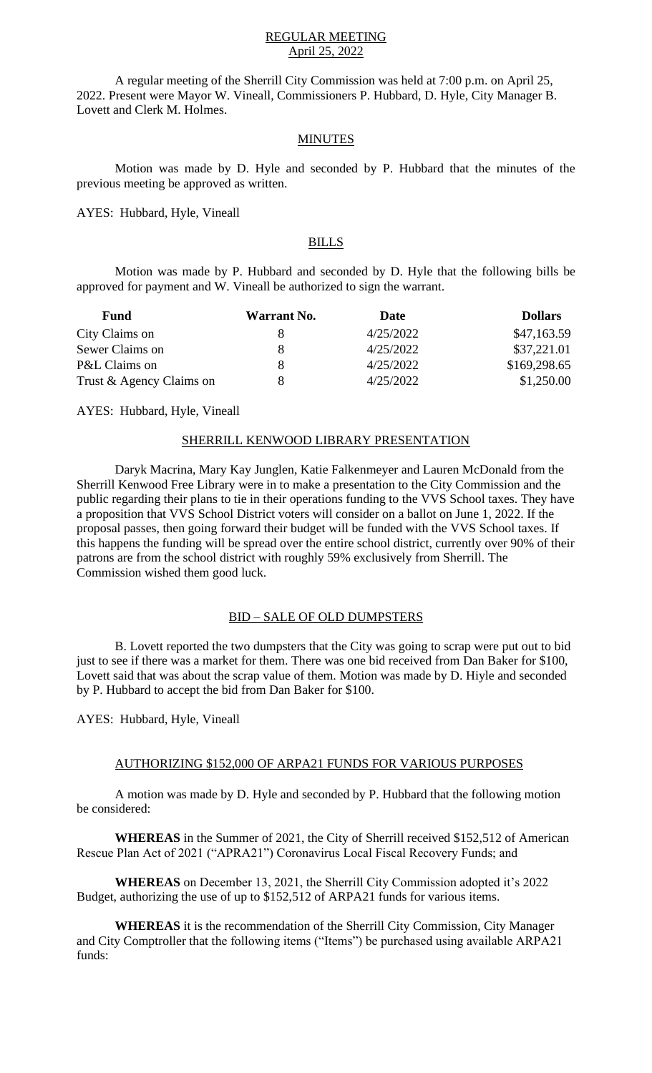### REGULAR MEETING April 25, 2022

A regular meeting of the Sherrill City Commission was held at 7:00 p.m. on April 25, 2022. Present were Mayor W. Vineall, Commissioners P. Hubbard, D. Hyle, City Manager B. Lovett and Clerk M. Holmes.

#### MINUTES

Motion was made by D. Hyle and seconded by P. Hubbard that the minutes of the previous meeting be approved as written.

AYES: Hubbard, Hyle, Vineall

# BILLS

Motion was made by P. Hubbard and seconded by D. Hyle that the following bills be approved for payment and W. Vineall be authorized to sign the warrant.

| <b>Fund</b>              | <b>Warrant No.</b> | Date      | <b>Dollars</b> |
|--------------------------|--------------------|-----------|----------------|
| City Claims on           | x                  | 4/25/2022 | \$47,163.59    |
| Sewer Claims on          | 8                  | 4/25/2022 | \$37,221.01    |
| P&L Claims on            | 8                  | 4/25/2022 | \$169,298.65   |
| Trust & Agency Claims on |                    | 4/25/2022 | \$1,250.00     |

AYES: Hubbard, Hyle, Vineall

### SHERRILL KENWOOD LIBRARY PRESENTATION

Daryk Macrina, Mary Kay Junglen, Katie Falkenmeyer and Lauren McDonald from the Sherrill Kenwood Free Library were in to make a presentation to the City Commission and the public regarding their plans to tie in their operations funding to the VVS School taxes. They have a proposition that VVS School District voters will consider on a ballot on June 1, 2022. If the proposal passes, then going forward their budget will be funded with the VVS School taxes. If this happens the funding will be spread over the entire school district, currently over 90% of their patrons are from the school district with roughly 59% exclusively from Sherrill. The Commission wished them good luck.

# BID – SALE OF OLD DUMPSTERS

B. Lovett reported the two dumpsters that the City was going to scrap were put out to bid just to see if there was a market for them. There was one bid received from Dan Baker for \$100, Lovett said that was about the scrap value of them. Motion was made by D. Hiyle and seconded by P. Hubbard to accept the bid from Dan Baker for \$100.

AYES: Hubbard, Hyle, Vineall

# AUTHORIZING \$152,000 OF ARPA21 FUNDS FOR VARIOUS PURPOSES

A motion was made by D. Hyle and seconded by P. Hubbard that the following motion be considered:

**WHEREAS** in the Summer of 2021, the City of Sherrill received \$152,512 of American Rescue Plan Act of 2021 ("APRA21") Coronavirus Local Fiscal Recovery Funds; and

**WHEREAS** on December 13, 2021, the Sherrill City Commission adopted it's 2022 Budget, authorizing the use of up to \$152,512 of ARPA21 funds for various items.

**WHEREAS** it is the recommendation of the Sherrill City Commission, City Manager and City Comptroller that the following items ("Items") be purchased using available ARPA21 funds: